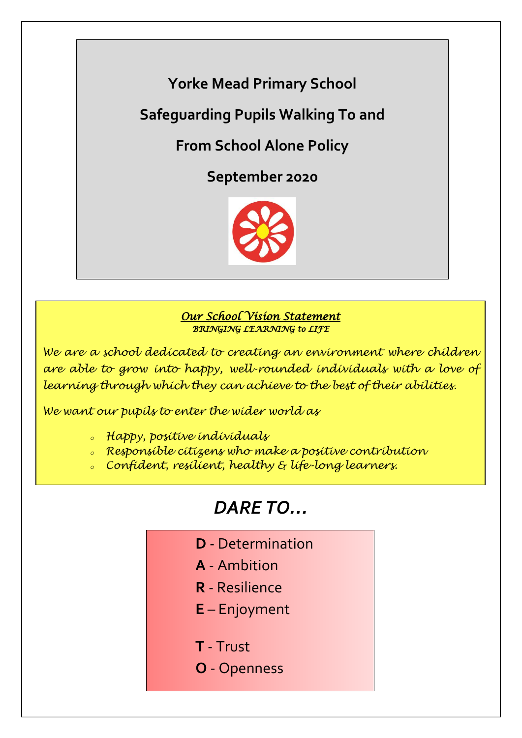### **Yorke Mead Primary School**

**Safeguarding Pupils Walking To and** 

**From School Alone Policy**

**September 2020**



#### *Our School Vision Statement BRINGING LEARNING to LIFE*

*We are a school dedicated to creating an environment where children are able to grow into happy, well-rounded individuals with a love of learning through which they can achieve to the best of their abilities.*

*We want our pupils to enter the wider world as*

- *<sup>o</sup> Happy, positive individuals*
- *<sup>o</sup> Responsible citizens who make a positive contribution*
- *<sup>o</sup> Confident, resilient, healthy & life-long learners.*

# *DARE TO…*

- **D** Determination
- **A** Ambition
- **R** Resilience
- **E** Enjoyment
- **T** Trust
- **O** Openness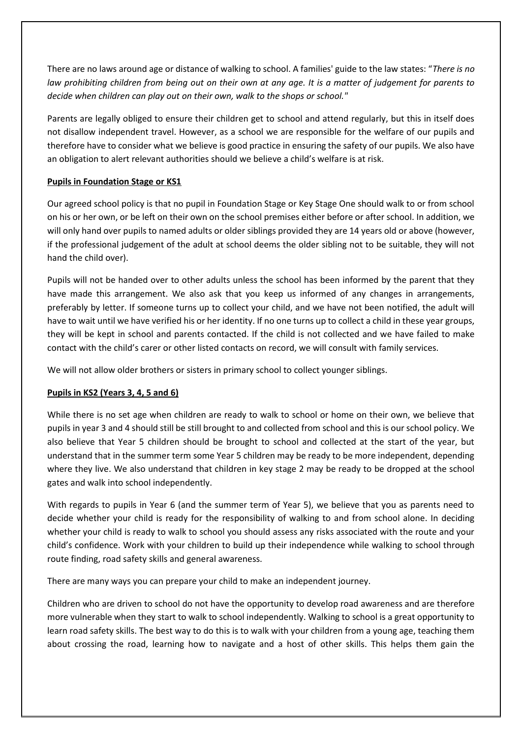There are no laws around age or distance of walking to school. A families' guide to the law states: "*There is no law prohibiting children from being out on their own at any age. It is a matter of judgement for parents to decide when children can play out on their own, walk to the shops or school."* 

Parents are legally obliged to ensure their children get to school and attend regularly, but this in itself does not disallow independent travel. However, as a school we are responsible for the welfare of our pupils and therefore have to consider what we believe is good practice in ensuring the safety of our pupils. We also have an obligation to alert relevant authorities should we believe a child's welfare is at risk.

#### **Pupils in Foundation Stage or KS1**

Our agreed school policy is that no pupil in Foundation Stage or Key Stage One should walk to or from school on his or her own, or be left on their own on the school premises either before or after school. In addition, we will only hand over pupils to named adults or older siblings provided they are 14 years old or above (however, if the professional judgement of the adult at school deems the older sibling not to be suitable, they will not hand the child over).

Pupils will not be handed over to other adults unless the school has been informed by the parent that they have made this arrangement. We also ask that you keep us informed of any changes in arrangements, preferably by letter. If someone turns up to collect your child, and we have not been notified, the adult will have to wait until we have verified his or her identity. If no one turns up to collect a child in these year groups, they will be kept in school and parents contacted. If the child is not collected and we have failed to make contact with the child's carer or other listed contacts on record, we will consult with family services.

We will not allow older brothers or sisters in primary school to collect younger siblings.

#### **Pupils in KS2 (Years 3, 4, 5 and 6)**

While there is no set age when children are ready to walk to school or home on their own, we believe that pupils in year 3 and 4 should still be still brought to and collected from school and this is our school policy. We also believe that Year 5 children should be brought to school and collected at the start of the year, but understand that in the summer term some Year 5 children may be ready to be more independent, depending where they live. We also understand that children in key stage 2 may be ready to be dropped at the school gates and walk into school independently.

With regards to pupils in Year 6 (and the summer term of Year 5), we believe that you as parents need to decide whether your child is ready for the responsibility of walking to and from school alone. In deciding whether your child is ready to walk to school you should assess any risks associated with the route and your child's confidence. Work with your children to build up their independence while walking to school through route finding, road safety skills and general awareness.

There are many ways you can prepare your child to make an independent journey.

Children who are driven to school do not have the opportunity to develop road awareness and are therefore more vulnerable when they start to walk to school independently. Walking to school is a great opportunity to learn road safety skills. The best way to do this is to walk with your children from a young age, teaching them about crossing the road, learning how to navigate and a host of other skills. This helps them gain the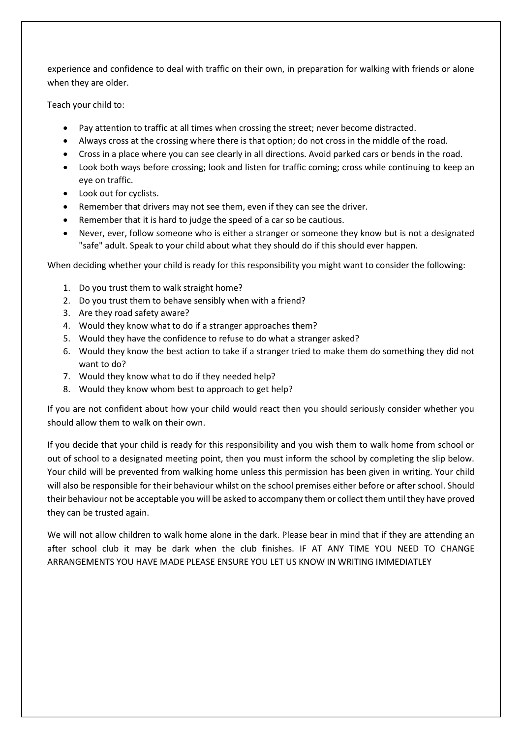experience and confidence to deal with traffic on their own, in preparation for walking with friends or alone when they are older.

Teach your child to:

- Pay attention to traffic at all times when crossing the street; never become distracted.
- Always cross at the crossing where there is that option; do not cross in the middle of the road.
- Cross in a place where you can see clearly in all directions. Avoid parked cars or bends in the road.
- Look both ways before crossing; look and listen for traffic coming; cross while continuing to keep an eye on traffic.
- Look out for cyclists.
- Remember that drivers may not see them, even if they can see the driver.
- Remember that it is hard to judge the speed of a car so be cautious.
- Never, ever, follow someone who is either a stranger or someone they know but is not a designated "safe" adult. Speak to your child about what they should do if this should ever happen.

When deciding whether your child is ready for this responsibility you might want to consider the following:

- 1. Do you trust them to walk straight home?
- 2. Do you trust them to behave sensibly when with a friend?
- 3. Are they road safety aware?
- 4. Would they know what to do if a stranger approaches them?
- 5. Would they have the confidence to refuse to do what a stranger asked?
- 6. Would they know the best action to take if a stranger tried to make them do something they did not want to do?
- 7. Would they know what to do if they needed help?
- 8. Would they know whom best to approach to get help?

If you are not confident about how your child would react then you should seriously consider whether you should allow them to walk on their own.

If you decide that your child is ready for this responsibility and you wish them to walk home from school or out of school to a designated meeting point, then you must inform the school by completing the slip below. Your child will be prevented from walking home unless this permission has been given in writing. Your child will also be responsible for their behaviour whilst on the school premises either before or after school. Should their behaviour not be acceptable you will be asked to accompany them or collect them until they have proved they can be trusted again.

We will not allow children to walk home alone in the dark. Please bear in mind that if they are attending an after school club it may be dark when the club finishes. IF AT ANY TIME YOU NEED TO CHANGE ARRANGEMENTS YOU HAVE MADE PLEASE ENSURE YOU LET US KNOW IN WRITING IMMEDIATLEY